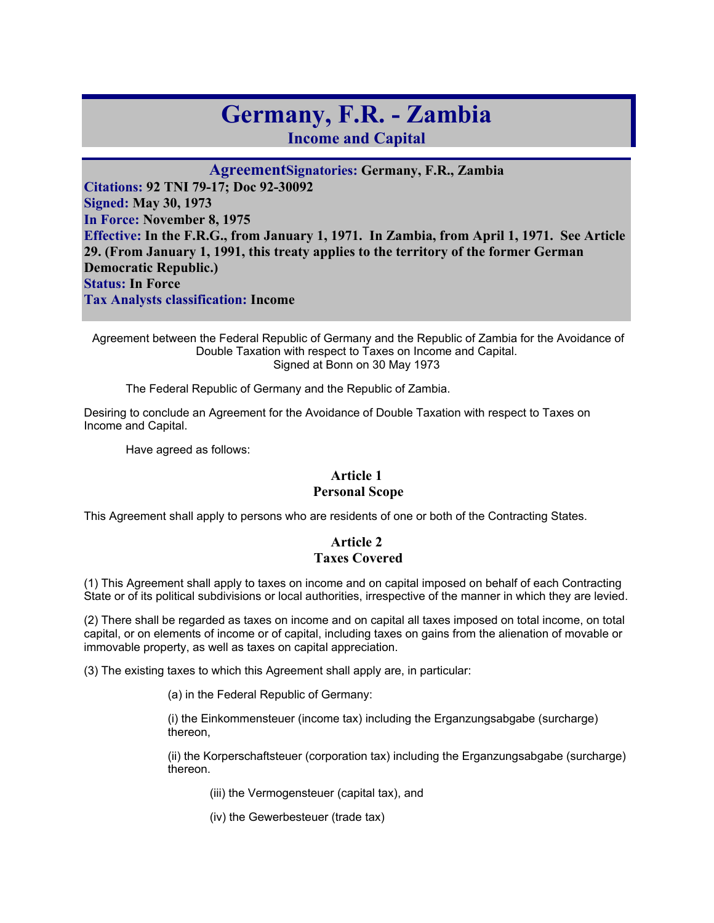# **Germany, F.R. - Zambia**

**Income and Capital** 

**AgreementSignatories: Germany, F.R., Zambia Citations: 92 TNI 79-17; Doc 92-30092 Signed: May 30, 1973 In Force: November 8, 1975 Effective: In the F.R.G., from January 1, 1971. In Zambia, from April 1, 1971. See Article 29. (From January 1, 1991, this treaty applies to the territory of the former German Democratic Republic.) Status: In Force Tax Analysts classification: Income** 

 Agreement between the Federal Republic of Germany and the Republic of Zambia for the Avoidance of Double Taxation with respect to Taxes on Income and Capital. Signed at Bonn on 30 May 1973

The Federal Republic of Germany and the Republic of Zambia.

Desiring to conclude an Agreement for the Avoidance of Double Taxation with respect to Taxes on Income and Capital.

Have agreed as follows:

# **Article 1**

### **Personal Scope**

This Agreement shall apply to persons who are residents of one or both of the Contracting States.

# **Article 2 Taxes Covered**

(1) This Agreement shall apply to taxes on income and on capital imposed on behalf of each Contracting State or of its political subdivisions or local authorities, irrespective of the manner in which they are levied.

(2) There shall be regarded as taxes on income and on capital all taxes imposed on total income, on total capital, or on elements of income or of capital, including taxes on gains from the alienation of movable or immovable property, as well as taxes on capital appreciation.

(3) The existing taxes to which this Agreement shall apply are, in particular:

(a) in the Federal Republic of Germany:

(i) the Einkommensteuer (income tax) including the Erganzungsabgabe (surcharge) thereon,

(ii) the Korperschaftsteuer (corporation tax) including the Erganzungsabgabe (surcharge) thereon.

(iii) the Vermogensteuer (capital tax), and

(iv) the Gewerbesteuer (trade tax)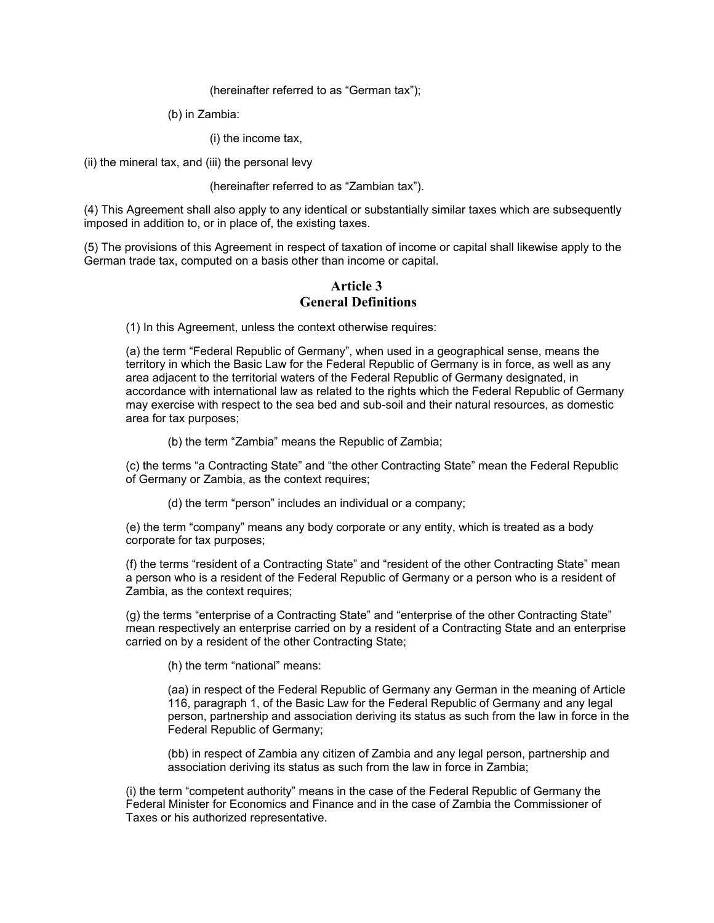#### (hereinafter referred to as "German tax");

(b) in Zambia:

(i) the income tax,

(ii) the mineral tax, and (iii) the personal levy

#### (hereinafter referred to as "Zambian tax").

(4) This Agreement shall also apply to any identical or substantially similar taxes which are subsequently imposed in addition to, or in place of, the existing taxes.

(5) The provisions of this Agreement in respect of taxation of income or capital shall likewise apply to the German trade tax, computed on a basis other than income or capital.

#### **Article 3 General Definitions**

(1) In this Agreement, unless the context otherwise requires:

(a) the term "Federal Republic of Germany", when used in a geographical sense, means the territory in which the Basic Law for the Federal Republic of Germany is in force, as well as any area adjacent to the territorial waters of the Federal Republic of Germany designated, in accordance with international law as related to the rights which the Federal Republic of Germany may exercise with respect to the sea bed and sub-soil and their natural resources, as domestic area for tax purposes;

(b) the term "Zambia" means the Republic of Zambia;

(c) the terms "a Contracting State" and "the other Contracting State" mean the Federal Republic of Germany or Zambia, as the context requires;

(d) the term "person" includes an individual or a company;

(e) the term "company" means any body corporate or any entity, which is treated as a body corporate for tax purposes;

(f) the terms "resident of a Contracting State" and "resident of the other Contracting State" mean a person who is a resident of the Federal Republic of Germany or a person who is a resident of Zambia, as the context requires;

(g) the terms "enterprise of a Contracting State" and "enterprise of the other Contracting State" mean respectively an enterprise carried on by a resident of a Contracting State and an enterprise carried on by a resident of the other Contracting State;

(h) the term "national" means:

(aa) in respect of the Federal Republic of Germany any German in the meaning of Article 116, paragraph 1, of the Basic Law for the Federal Republic of Germany and any legal person, partnership and association deriving its status as such from the law in force in the Federal Republic of Germany;

(bb) in respect of Zambia any citizen of Zambia and any legal person, partnership and association deriving its status as such from the law in force in Zambia;

(i) the term "competent authority" means in the case of the Federal Republic of Germany the Federal Minister for Economics and Finance and in the case of Zambia the Commissioner of Taxes or his authorized representative.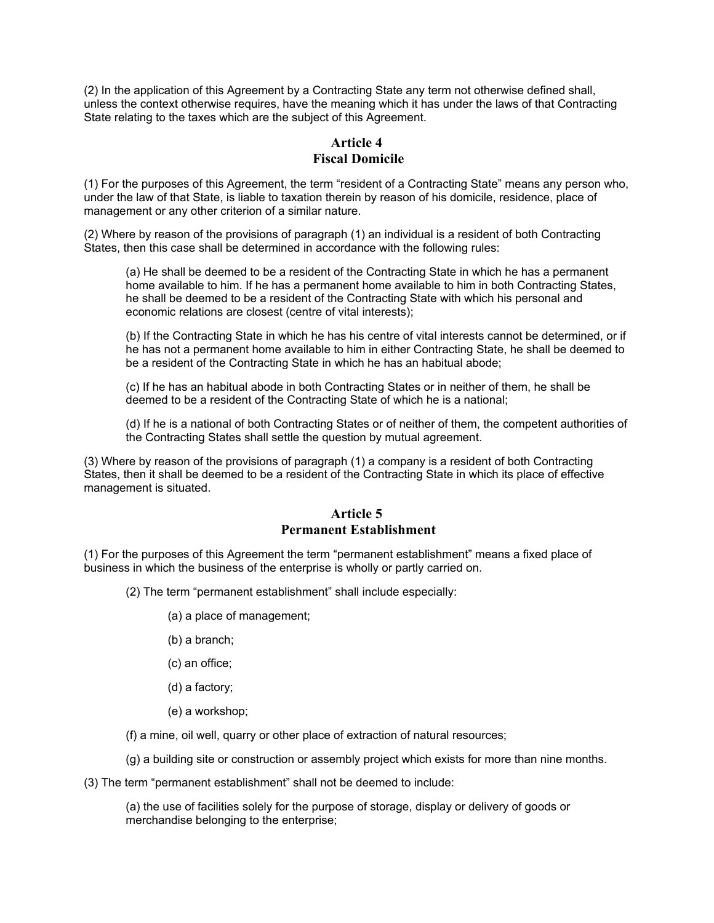(2) In the application of this Agreement by a Contracting State any term not otherwise defined shall, unless the context otherwise requires, have the meaning which it has under the laws of that Contracting State relating to the taxes which are the subject of this Agreement.

#### **Article 4 Fiscal Domicile**

(1) For the purposes of this Agreement, the term "resident of a Contracting State" means any person who, under the law of that State, is liable to taxation therein by reason of his domicile, residence, place of management or any other criterion of a similar nature.

(2) Where by reason of the provisions of paragraph (1) an individual is a resident of both Contracting States, then this case shall be determined in accordance with the following rules:

(a) He shall be deemed to be a resident of the Contracting State in which he has a permanent home available to him. If he has a permanent home available to him in both Contracting States, he shall be deemed to be a resident of the Contracting State with which his personal and economic relations are closest (centre of vital interests);

(b) If the Contracting State in which he has his centre of vital interests cannot be determined, or if he has not a permanent home available to him in either Contracting State, he shall be deemed to be a resident of the Contracting State in which he has an habitual abode;

(c) If he has an habitual abode in both Contracting States or in neither of them, he shall be deemed to be a resident of the Contracting State of which he is a national;

(d) If he is a national of both Contracting States or of neither of them, the competent authorities of the Contracting States shall settle the question by mutual agreement.

(3) Where by reason of the provisions of paragraph (1) a company is a resident of both Contracting States, then it shall be deemed to be a resident of the Contracting State in which its place of effective management is situated.

#### **Article 5 Permanent Establishment**

(1) For the purposes of this Agreement the term "permanent establishment" means a fixed place of business in which the business of the enterprise is wholly or partly carried on.

(2) The term "permanent establishment" shall include especially:

- (a) a place of management;
- (b) a branch;
- (c) an office;
- (d) a factory;
- (e) a workshop;
- (f) a mine, oil well, quarry or other place of extraction of natural resources;

(g) a building site or construction or assembly project which exists for more than nine months.

(3) The term "permanent establishment" shall not be deemed to include:

(a) the use of facilities solely for the purpose of storage, display or delivery of goods or merchandise belonging to the enterprise;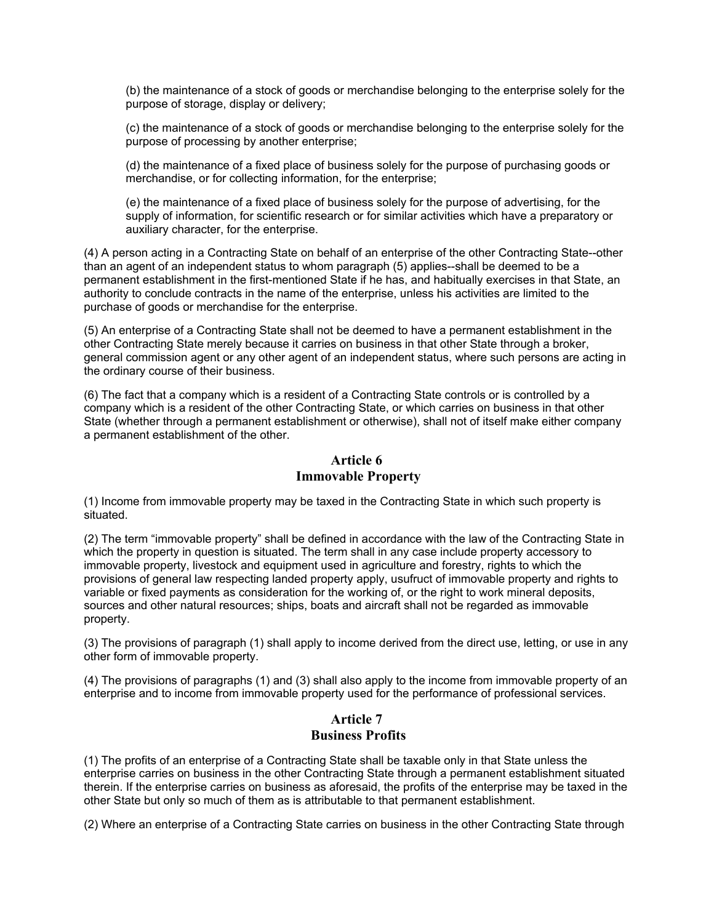(b) the maintenance of a stock of goods or merchandise belonging to the enterprise solely for the purpose of storage, display or delivery;

(c) the maintenance of a stock of goods or merchandise belonging to the enterprise solely for the purpose of processing by another enterprise;

(d) the maintenance of a fixed place of business solely for the purpose of purchasing goods or merchandise, or for collecting information, for the enterprise;

(e) the maintenance of a fixed place of business solely for the purpose of advertising, for the supply of information, for scientific research or for similar activities which have a preparatory or auxiliary character, for the enterprise.

(4) A person acting in a Contracting State on behalf of an enterprise of the other Contracting State--other than an agent of an independent status to whom paragraph (5) applies--shall be deemed to be a permanent establishment in the first-mentioned State if he has, and habitually exercises in that State, an authority to conclude contracts in the name of the enterprise, unless his activities are limited to the purchase of goods or merchandise for the enterprise.

(5) An enterprise of a Contracting State shall not be deemed to have a permanent establishment in the other Contracting State merely because it carries on business in that other State through a broker, general commission agent or any other agent of an independent status, where such persons are acting in the ordinary course of their business.

(6) The fact that a company which is a resident of a Contracting State controls or is controlled by a company which is a resident of the other Contracting State, or which carries on business in that other State (whether through a permanent establishment or otherwise), shall not of itself make either company a permanent establishment of the other.

## **Article 6 Immovable Property**

(1) Income from immovable property may be taxed in the Contracting State in which such property is situated.

(2) The term "immovable property" shall be defined in accordance with the law of the Contracting State in which the property in question is situated. The term shall in any case include property accessory to immovable property, livestock and equipment used in agriculture and forestry, rights to which the provisions of general law respecting landed property apply, usufruct of immovable property and rights to variable or fixed payments as consideration for the working of, or the right to work mineral deposits, sources and other natural resources; ships, boats and aircraft shall not be regarded as immovable property.

(3) The provisions of paragraph (1) shall apply to income derived from the direct use, letting, or use in any other form of immovable property.

(4) The provisions of paragraphs (1) and (3) shall also apply to the income from immovable property of an enterprise and to income from immovable property used for the performance of professional services.

## **Article 7 Business Profits**

(1) The profits of an enterprise of a Contracting State shall be taxable only in that State unless the enterprise carries on business in the other Contracting State through a permanent establishment situated therein. If the enterprise carries on business as aforesaid, the profits of the enterprise may be taxed in the other State but only so much of them as is attributable to that permanent establishment.

(2) Where an enterprise of a Contracting State carries on business in the other Contracting State through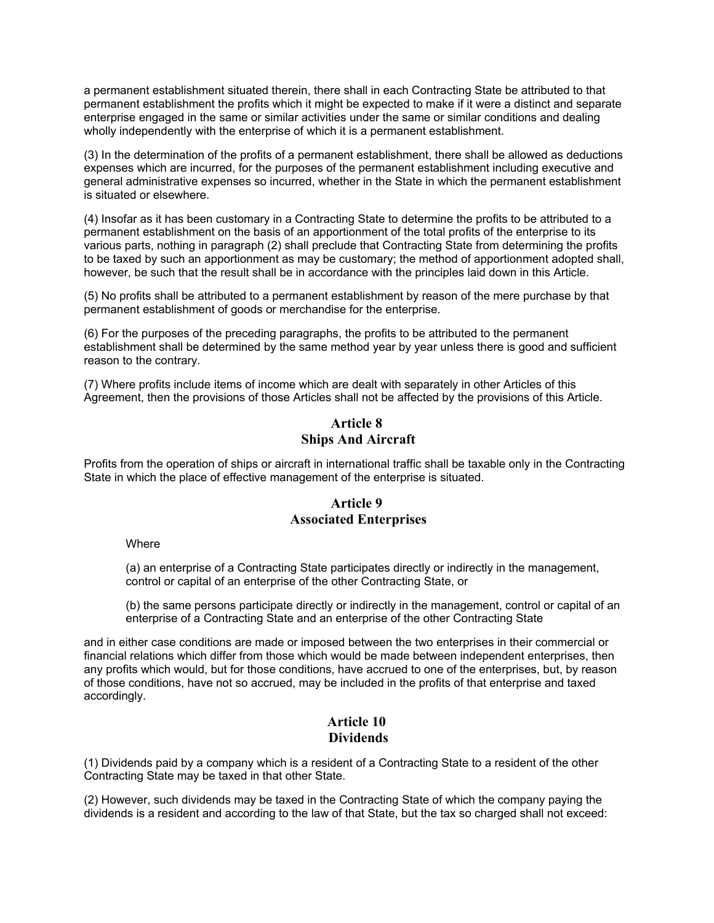a permanent establishment situated therein, there shall in each Contracting State be attributed to that permanent establishment the profits which it might be expected to make if it were a distinct and separate enterprise engaged in the same or similar activities under the same or similar conditions and dealing wholly independently with the enterprise of which it is a permanent establishment.

(3) In the determination of the profits of a permanent establishment, there shall be allowed as deductions expenses which are incurred, for the purposes of the permanent establishment including executive and general administrative expenses so incurred, whether in the State in which the permanent establishment is situated or elsewhere.

(4) Insofar as it has been customary in a Contracting State to determine the profits to be attributed to a permanent establishment on the basis of an apportionment of the total profits of the enterprise to its various parts, nothing in paragraph (2) shall preclude that Contracting State from determining the profits to be taxed by such an apportionment as may be customary; the method of apportionment adopted shall, however, be such that the result shall be in accordance with the principles laid down in this Article.

(5) No profits shall be attributed to a permanent establishment by reason of the mere purchase by that permanent establishment of goods or merchandise for the enterprise.

(6) For the purposes of the preceding paragraphs, the profits to be attributed to the permanent establishment shall be determined by the same method year by year unless there is good and sufficient reason to the contrary.

(7) Where profits include items of income which are dealt with separately in other Articles of this Agreement, then the provisions of those Articles shall not be affected by the provisions of this Article.

# **Article 8 Ships And Aircraft**

Profits from the operation of ships or aircraft in international traffic shall be taxable only in the Contracting State in which the place of effective management of the enterprise is situated.

## **Article 9 Associated Enterprises**

**Where** 

(a) an enterprise of a Contracting State participates directly or indirectly in the management, control or capital of an enterprise of the other Contracting State, or

(b) the same persons participate directly or indirectly in the management, control or capital of an enterprise of a Contracting State and an enterprise of the other Contracting State

and in either case conditions are made or imposed between the two enterprises in their commercial or financial relations which differ from those which would be made between independent enterprises, then any profits which would, but for those conditions, have accrued to one of the enterprises, but, by reason of those conditions, have not so accrued, may be included in the profits of that enterprise and taxed accordingly.

#### **Article 10 Dividends**

(1) Dividends paid by a company which is a resident of a Contracting State to a resident of the other Contracting State may be taxed in that other State.

(2) However, such dividends may be taxed in the Contracting State of which the company paying the dividends is a resident and according to the law of that State, but the tax so charged shall not exceed: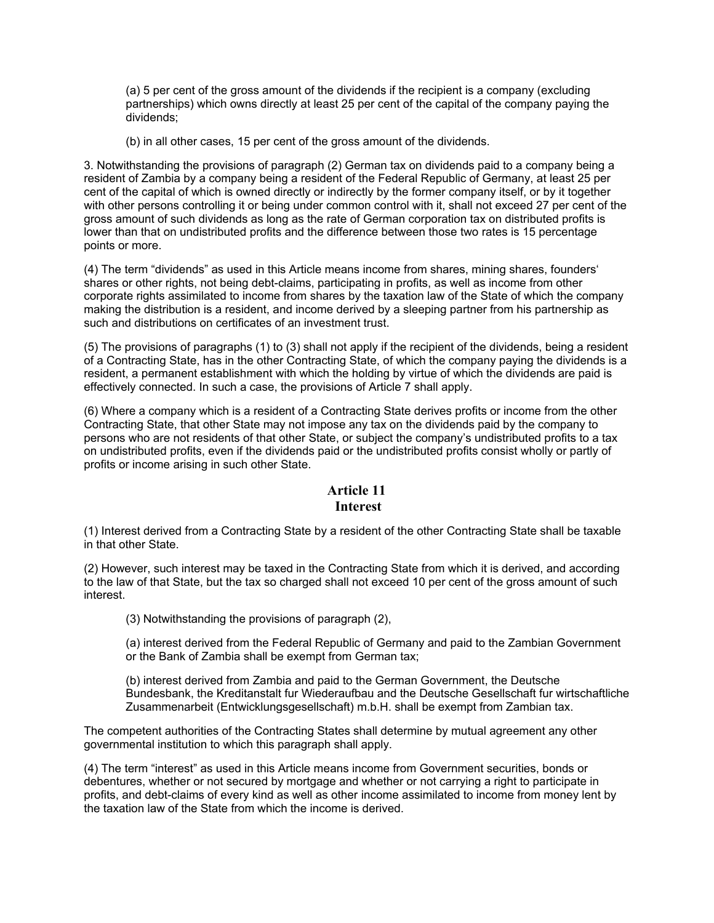(a) 5 per cent of the gross amount of the dividends if the recipient is a company (excluding partnerships) which owns directly at least 25 per cent of the capital of the company paying the dividends;

(b) in all other cases, 15 per cent of the gross amount of the dividends.

3. Notwithstanding the provisions of paragraph (2) German tax on dividends paid to a company being a resident of Zambia by a company being a resident of the Federal Republic of Germany, at least 25 per cent of the capital of which is owned directly or indirectly by the former company itself, or by it together with other persons controlling it or being under common control with it, shall not exceed 27 per cent of the gross amount of such dividends as long as the rate of German corporation tax on distributed profits is lower than that on undistributed profits and the difference between those two rates is 15 percentage points or more.

(4) The term "dividends" as used in this Article means income from shares, mining shares, founders' shares or other rights, not being debt-claims, participating in profits, as well as income from other corporate rights assimilated to income from shares by the taxation law of the State of which the company making the distribution is a resident, and income derived by a sleeping partner from his partnership as such and distributions on certificates of an investment trust.

(5) The provisions of paragraphs (1) to (3) shall not apply if the recipient of the dividends, being a resident of a Contracting State, has in the other Contracting State, of which the company paying the dividends is a resident, a permanent establishment with which the holding by virtue of which the dividends are paid is effectively connected. In such a case, the provisions of Article 7 shall apply.

(6) Where a company which is a resident of a Contracting State derives profits or income from the other Contracting State, that other State may not impose any tax on the dividends paid by the company to persons who are not residents of that other State, or subject the company's undistributed profits to a tax on undistributed profits, even if the dividends paid or the undistributed profits consist wholly or partly of profits or income arising in such other State.

## **Article 11 Interest**

(1) Interest derived from a Contracting State by a resident of the other Contracting State shall be taxable in that other State.

(2) However, such interest may be taxed in the Contracting State from which it is derived, and according to the law of that State, but the tax so charged shall not exceed 10 per cent of the gross amount of such interest.

(3) Notwithstanding the provisions of paragraph (2),

(a) interest derived from the Federal Republic of Germany and paid to the Zambian Government or the Bank of Zambia shall be exempt from German tax;

(b) interest derived from Zambia and paid to the German Government, the Deutsche Bundesbank, the Kreditanstalt fur Wiederaufbau and the Deutsche Gesellschaft fur wirtschaftliche Zusammenarbeit (Entwicklungsgesellschaft) m.b.H. shall be exempt from Zambian tax.

The competent authorities of the Contracting States shall determine by mutual agreement any other governmental institution to which this paragraph shall apply.

(4) The term "interest" as used in this Article means income from Government securities, bonds or debentures, whether or not secured by mortgage and whether or not carrying a right to participate in profits, and debt-claims of every kind as well as other income assimilated to income from money lent by the taxation law of the State from which the income is derived.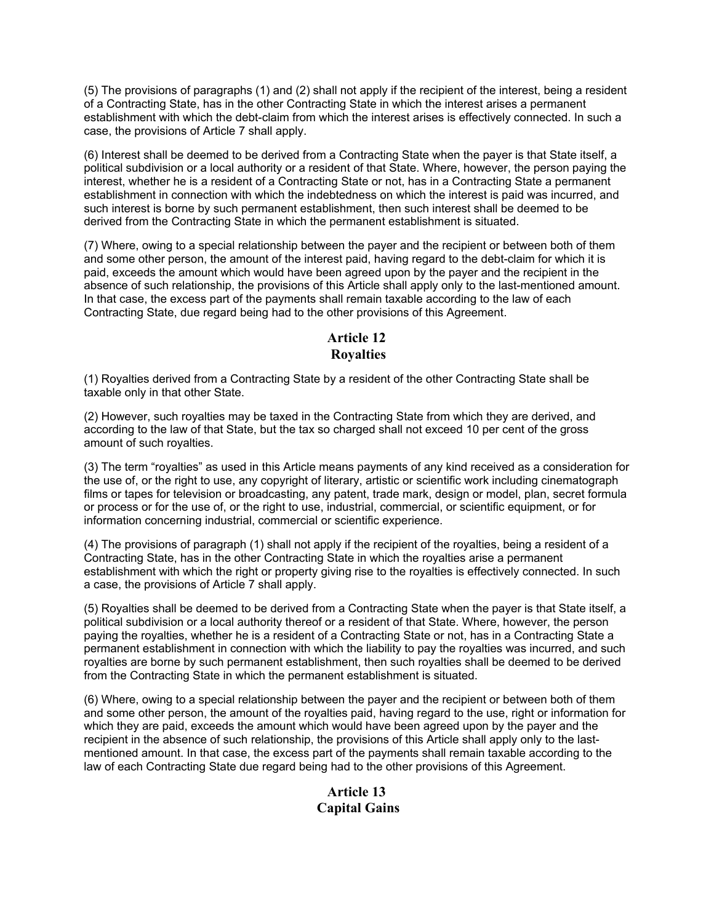(5) The provisions of paragraphs (1) and (2) shall not apply if the recipient of the interest, being a resident of a Contracting State, has in the other Contracting State in which the interest arises a permanent establishment with which the debt-claim from which the interest arises is effectively connected. In such a case, the provisions of Article 7 shall apply.

(6) Interest shall be deemed to be derived from a Contracting State when the payer is that State itself, a political subdivision or a local authority or a resident of that State. Where, however, the person paying the interest, whether he is a resident of a Contracting State or not, has in a Contracting State a permanent establishment in connection with which the indebtedness on which the interest is paid was incurred, and such interest is borne by such permanent establishment, then such interest shall be deemed to be derived from the Contracting State in which the permanent establishment is situated.

(7) Where, owing to a special relationship between the payer and the recipient or between both of them and some other person, the amount of the interest paid, having regard to the debt-claim for which it is paid, exceeds the amount which would have been agreed upon by the payer and the recipient in the absence of such relationship, the provisions of this Article shall apply only to the last-mentioned amount. In that case, the excess part of the payments shall remain taxable according to the law of each Contracting State, due regard being had to the other provisions of this Agreement.

# **Article 12 Royalties**

(1) Royalties derived from a Contracting State by a resident of the other Contracting State shall be taxable only in that other State.

(2) However, such royalties may be taxed in the Contracting State from which they are derived, and according to the law of that State, but the tax so charged shall not exceed 10 per cent of the gross amount of such royalties.

(3) The term "royalties" as used in this Article means payments of any kind received as a consideration for the use of, or the right to use, any copyright of literary, artistic or scientific work including cinematograph films or tapes for television or broadcasting, any patent, trade mark, design or model, plan, secret formula or process or for the use of, or the right to use, industrial, commercial, or scientific equipment, or for information concerning industrial, commercial or scientific experience.

(4) The provisions of paragraph (1) shall not apply if the recipient of the royalties, being a resident of a Contracting State, has in the other Contracting State in which the royalties arise a permanent establishment with which the right or property giving rise to the royalties is effectively connected. In such a case, the provisions of Article 7 shall apply.

(5) Royalties shall be deemed to be derived from a Contracting State when the payer is that State itself, a political subdivision or a local authority thereof or a resident of that State. Where, however, the person paying the royalties, whether he is a resident of a Contracting State or not, has in a Contracting State a permanent establishment in connection with which the liability to pay the royalties was incurred, and such royalties are borne by such permanent establishment, then such royalties shall be deemed to be derived from the Contracting State in which the permanent establishment is situated.

(6) Where, owing to a special relationship between the payer and the recipient or between both of them and some other person, the amount of the royalties paid, having regard to the use, right or information for which they are paid, exceeds the amount which would have been agreed upon by the payer and the recipient in the absence of such relationship, the provisions of this Article shall apply only to the lastmentioned amount. In that case, the excess part of the payments shall remain taxable according to the law of each Contracting State due regard being had to the other provisions of this Agreement.

# **Article 13 Capital Gains**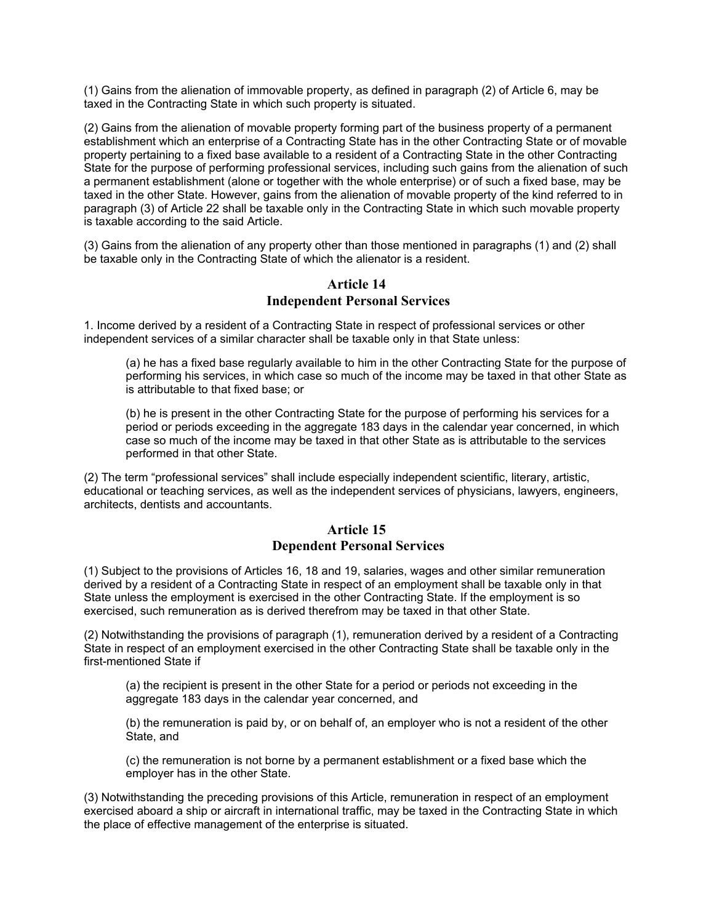(1) Gains from the alienation of immovable property, as defined in paragraph (2) of Article 6, may be taxed in the Contracting State in which such property is situated.

(2) Gains from the alienation of movable property forming part of the business property of a permanent establishment which an enterprise of a Contracting State has in the other Contracting State or of movable property pertaining to a fixed base available to a resident of a Contracting State in the other Contracting State for the purpose of performing professional services, including such gains from the alienation of such a permanent establishment (alone or together with the whole enterprise) or of such a fixed base, may be taxed in the other State. However, gains from the alienation of movable property of the kind referred to in paragraph (3) of Article 22 shall be taxable only in the Contracting State in which such movable property is taxable according to the said Article.

(3) Gains from the alienation of any property other than those mentioned in paragraphs (1) and (2) shall be taxable only in the Contracting State of which the alienator is a resident.

#### **Article 14 Independent Personal Services**

1. Income derived by a resident of a Contracting State in respect of professional services or other independent services of a similar character shall be taxable only in that State unless:

(a) he has a fixed base regularly available to him in the other Contracting State for the purpose of performing his services, in which case so much of the income may be taxed in that other State as is attributable to that fixed base; or

(b) he is present in the other Contracting State for the purpose of performing his services for a period or periods exceeding in the aggregate 183 days in the calendar year concerned, in which case so much of the income may be taxed in that other State as is attributable to the services performed in that other State.

(2) The term "professional services" shall include especially independent scientific, literary, artistic, educational or teaching services, as well as the independent services of physicians, lawyers, engineers, architects, dentists and accountants.

#### **Article 15 Dependent Personal Services**

(1) Subject to the provisions of Articles 16, 18 and 19, salaries, wages and other similar remuneration derived by a resident of a Contracting State in respect of an employment shall be taxable only in that State unless the employment is exercised in the other Contracting State. If the employment is so exercised, such remuneration as is derived therefrom may be taxed in that other State.

(2) Notwithstanding the provisions of paragraph (1), remuneration derived by a resident of a Contracting State in respect of an employment exercised in the other Contracting State shall be taxable only in the first-mentioned State if

(a) the recipient is present in the other State for a period or periods not exceeding in the aggregate 183 days in the calendar year concerned, and

(b) the remuneration is paid by, or on behalf of, an employer who is not a resident of the other State, and

(c) the remuneration is not borne by a permanent establishment or a fixed base which the employer has in the other State.

(3) Notwithstanding the preceding provisions of this Article, remuneration in respect of an employment exercised aboard a ship or aircraft in international traffic, may be taxed in the Contracting State in which the place of effective management of the enterprise is situated.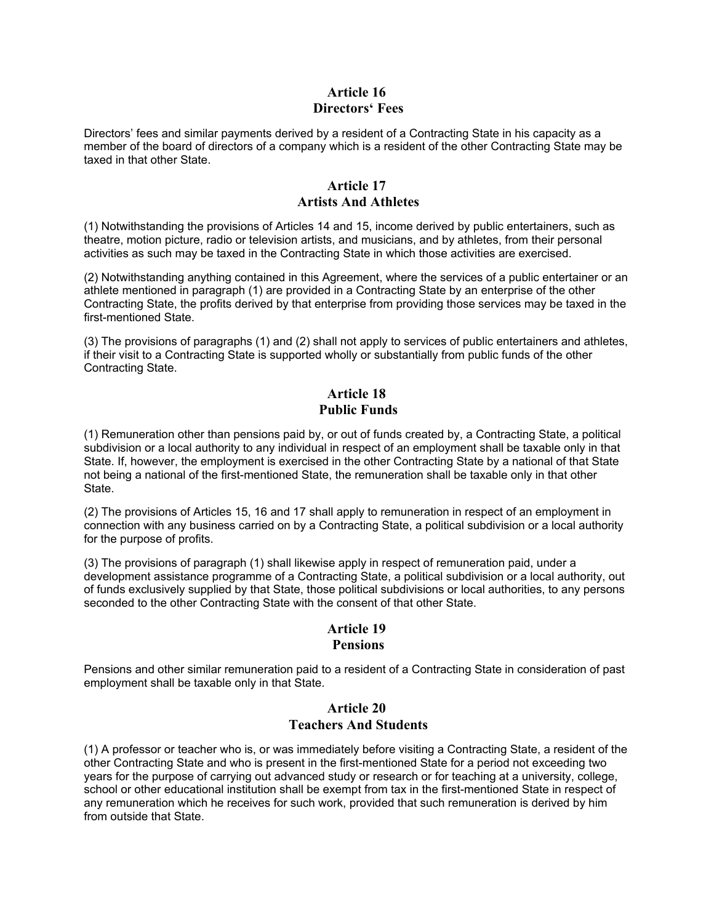#### **Article 16 Directors' Fees**

Directors' fees and similar payments derived by a resident of a Contracting State in his capacity as a member of the board of directors of a company which is a resident of the other Contracting State may be taxed in that other State.

### **Article 17 Artists And Athletes**

(1) Notwithstanding the provisions of Articles 14 and 15, income derived by public entertainers, such as theatre, motion picture, radio or television artists, and musicians, and by athletes, from their personal activities as such may be taxed in the Contracting State in which those activities are exercised.

(2) Notwithstanding anything contained in this Agreement, where the services of a public entertainer or an athlete mentioned in paragraph (1) are provided in a Contracting State by an enterprise of the other Contracting State, the profits derived by that enterprise from providing those services may be taxed in the first-mentioned State.

(3) The provisions of paragraphs (1) and (2) shall not apply to services of public entertainers and athletes, if their visit to a Contracting State is supported wholly or substantially from public funds of the other Contracting State.

# **Article 18 Public Funds**

(1) Remuneration other than pensions paid by, or out of funds created by, a Contracting State, a political subdivision or a local authority to any individual in respect of an employment shall be taxable only in that State. If, however, the employment is exercised in the other Contracting State by a national of that State not being a national of the first-mentioned State, the remuneration shall be taxable only in that other State.

(2) The provisions of Articles 15, 16 and 17 shall apply to remuneration in respect of an employment in connection with any business carried on by a Contracting State, a political subdivision or a local authority for the purpose of profits.

(3) The provisions of paragraph (1) shall likewise apply in respect of remuneration paid, under a development assistance programme of a Contracting State, a political subdivision or a local authority, out of funds exclusively supplied by that State, those political subdivisions or local authorities, to any persons seconded to the other Contracting State with the consent of that other State.

# **Article 19**

## **Pensions**

Pensions and other similar remuneration paid to a resident of a Contracting State in consideration of past employment shall be taxable only in that State.

#### **Article 20 Teachers And Students**

(1) A professor or teacher who is, or was immediately before visiting a Contracting State, a resident of the other Contracting State and who is present in the first-mentioned State for a period not exceeding two years for the purpose of carrying out advanced study or research or for teaching at a university, college, school or other educational institution shall be exempt from tax in the first-mentioned State in respect of any remuneration which he receives for such work, provided that such remuneration is derived by him from outside that State.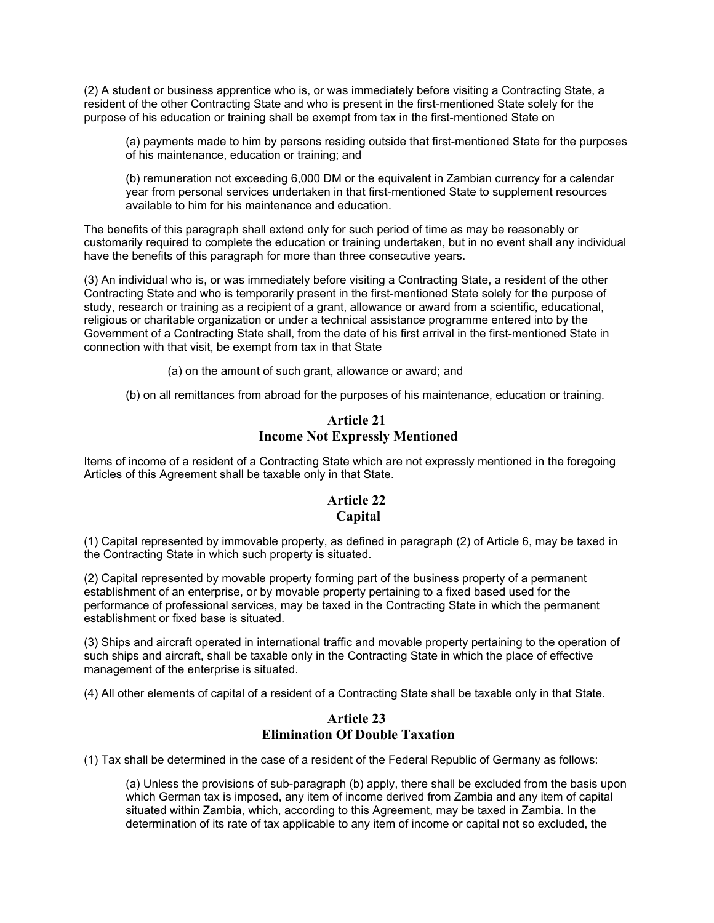(2) A student or business apprentice who is, or was immediately before visiting a Contracting State, a resident of the other Contracting State and who is present in the first-mentioned State solely for the purpose of his education or training shall be exempt from tax in the first-mentioned State on

(a) payments made to him by persons residing outside that first-mentioned State for the purposes of his maintenance, education or training; and

(b) remuneration not exceeding 6,000 DM or the equivalent in Zambian currency for a calendar year from personal services undertaken in that first-mentioned State to supplement resources available to him for his maintenance and education.

The benefits of this paragraph shall extend only for such period of time as may be reasonably or customarily required to complete the education or training undertaken, but in no event shall any individual have the benefits of this paragraph for more than three consecutive years.

(3) An individual who is, or was immediately before visiting a Contracting State, a resident of the other Contracting State and who is temporarily present in the first-mentioned State solely for the purpose of study, research or training as a recipient of a grant, allowance or award from a scientific, educational, religious or charitable organization or under a technical assistance programme entered into by the Government of a Contracting State shall, from the date of his first arrival in the first-mentioned State in connection with that visit, be exempt from tax in that State

(a) on the amount of such grant, allowance or award; and

(b) on all remittances from abroad for the purposes of his maintenance, education or training.

#### **Article 21 Income Not Expressly Mentioned**

Items of income of a resident of a Contracting State which are not expressly mentioned in the foregoing Articles of this Agreement shall be taxable only in that State.

# **Article 22 Capital**

(1) Capital represented by immovable property, as defined in paragraph (2) of Article 6, may be taxed in the Contracting State in which such property is situated.

(2) Capital represented by movable property forming part of the business property of a permanent establishment of an enterprise, or by movable property pertaining to a fixed based used for the performance of professional services, may be taxed in the Contracting State in which the permanent establishment or fixed base is situated.

(3) Ships and aircraft operated in international traffic and movable property pertaining to the operation of such ships and aircraft, shall be taxable only in the Contracting State in which the place of effective management of the enterprise is situated.

(4) All other elements of capital of a resident of a Contracting State shall be taxable only in that State.

#### **Article 23 Elimination Of Double Taxation**

(1) Tax shall be determined in the case of a resident of the Federal Republic of Germany as follows:

(a) Unless the provisions of sub-paragraph (b) apply, there shall be excluded from the basis upon which German tax is imposed, any item of income derived from Zambia and any item of capital situated within Zambia, which, according to this Agreement, may be taxed in Zambia. In the determination of its rate of tax applicable to any item of income or capital not so excluded, the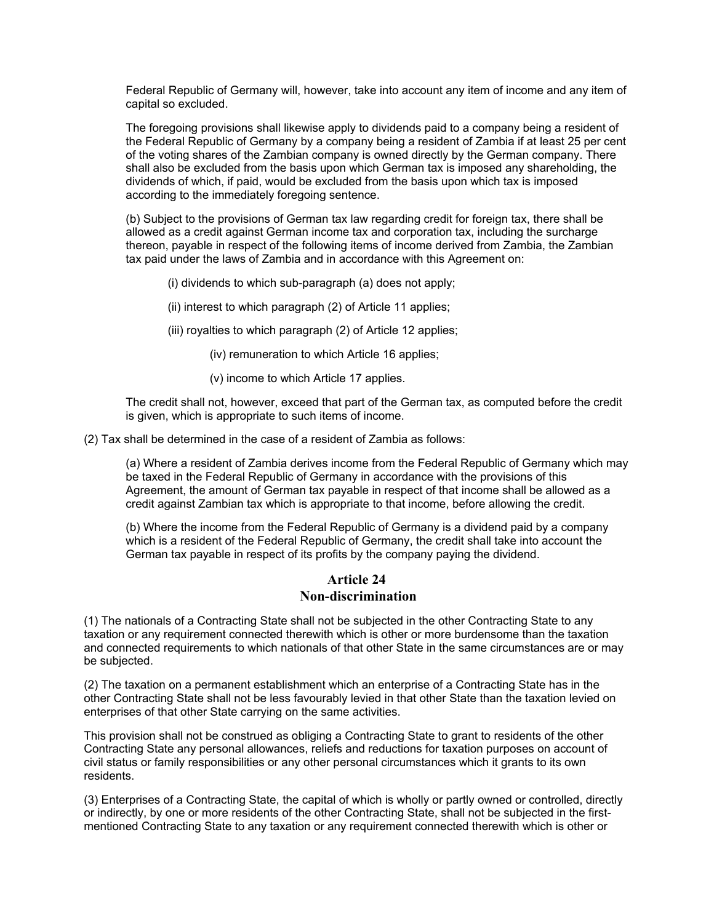Federal Republic of Germany will, however, take into account any item of income and any item of capital so excluded.

The foregoing provisions shall likewise apply to dividends paid to a company being a resident of the Federal Republic of Germany by a company being a resident of Zambia if at least 25 per cent of the voting shares of the Zambian company is owned directly by the German company. There shall also be excluded from the basis upon which German tax is imposed any shareholding, the dividends of which, if paid, would be excluded from the basis upon which tax is imposed according to the immediately foregoing sentence.

(b) Subject to the provisions of German tax law regarding credit for foreign tax, there shall be allowed as a credit against German income tax and corporation tax, including the surcharge thereon, payable in respect of the following items of income derived from Zambia, the Zambian tax paid under the laws of Zambia and in accordance with this Agreement on:

(i) dividends to which sub-paragraph (a) does not apply;

(ii) interest to which paragraph (2) of Article 11 applies;

(iii) royalties to which paragraph (2) of Article 12 applies;

(iv) remuneration to which Article 16 applies;

(v) income to which Article 17 applies.

The credit shall not, however, exceed that part of the German tax, as computed before the credit is given, which is appropriate to such items of income.

(2) Tax shall be determined in the case of a resident of Zambia as follows:

(a) Where a resident of Zambia derives income from the Federal Republic of Germany which may be taxed in the Federal Republic of Germany in accordance with the provisions of this Agreement, the amount of German tax payable in respect of that income shall be allowed as a credit against Zambian tax which is appropriate to that income, before allowing the credit.

(b) Where the income from the Federal Republic of Germany is a dividend paid by a company which is a resident of the Federal Republic of Germany, the credit shall take into account the German tax payable in respect of its profits by the company paying the dividend.

#### **Article 24 Non-discrimination**

(1) The nationals of a Contracting State shall not be subjected in the other Contracting State to any taxation or any requirement connected therewith which is other or more burdensome than the taxation and connected requirements to which nationals of that other State in the same circumstances are or may be subjected.

(2) The taxation on a permanent establishment which an enterprise of a Contracting State has in the other Contracting State shall not be less favourably levied in that other State than the taxation levied on enterprises of that other State carrying on the same activities.

This provision shall not be construed as obliging a Contracting State to grant to residents of the other Contracting State any personal allowances, reliefs and reductions for taxation purposes on account of civil status or family responsibilities or any other personal circumstances which it grants to its own residents.

(3) Enterprises of a Contracting State, the capital of which is wholly or partly owned or controlled, directly or indirectly, by one or more residents of the other Contracting State, shall not be subjected in the firstmentioned Contracting State to any taxation or any requirement connected therewith which is other or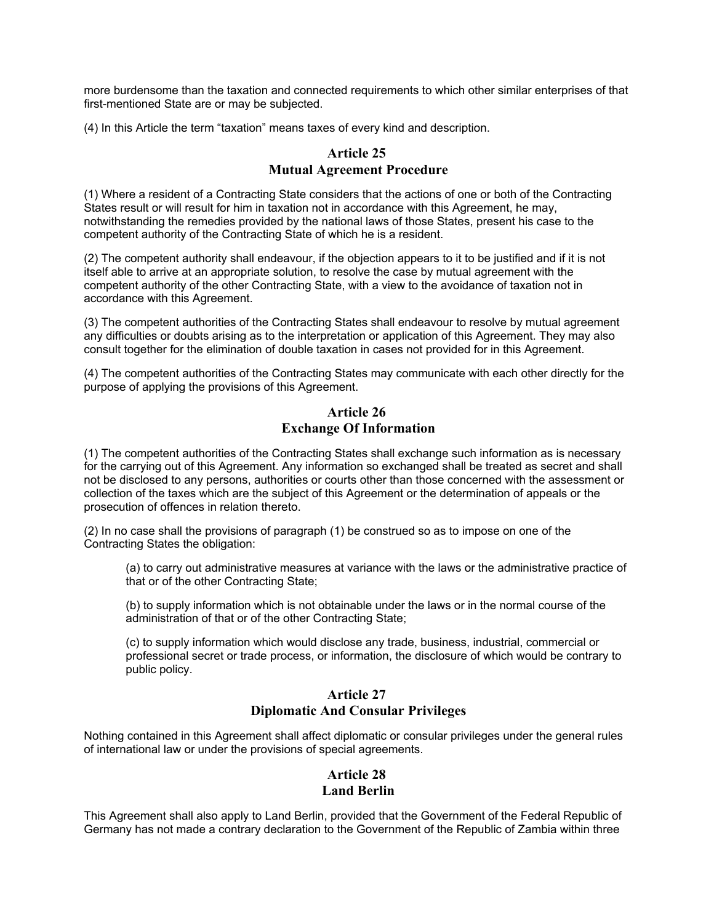more burdensome than the taxation and connected requirements to which other similar enterprises of that first-mentioned State are or may be subjected.

(4) In this Article the term "taxation" means taxes of every kind and description.

#### **Article 25 Mutual Agreement Procedure**

(1) Where a resident of a Contracting State considers that the actions of one or both of the Contracting States result or will result for him in taxation not in accordance with this Agreement, he may, notwithstanding the remedies provided by the national laws of those States, present his case to the competent authority of the Contracting State of which he is a resident.

(2) The competent authority shall endeavour, if the objection appears to it to be justified and if it is not itself able to arrive at an appropriate solution, to resolve the case by mutual agreement with the competent authority of the other Contracting State, with a view to the avoidance of taxation not in accordance with this Agreement.

(3) The competent authorities of the Contracting States shall endeavour to resolve by mutual agreement any difficulties or doubts arising as to the interpretation or application of this Agreement. They may also consult together for the elimination of double taxation in cases not provided for in this Agreement.

(4) The competent authorities of the Contracting States may communicate with each other directly for the purpose of applying the provisions of this Agreement.

#### **Article 26 Exchange Of Information**

(1) The competent authorities of the Contracting States shall exchange such information as is necessary for the carrying out of this Agreement. Any information so exchanged shall be treated as secret and shall not be disclosed to any persons, authorities or courts other than those concerned with the assessment or collection of the taxes which are the subject of this Agreement or the determination of appeals or the prosecution of offences in relation thereto.

(2) In no case shall the provisions of paragraph (1) be construed so as to impose on one of the Contracting States the obligation:

(a) to carry out administrative measures at variance with the laws or the administrative practice of that or of the other Contracting State;

(b) to supply information which is not obtainable under the laws or in the normal course of the administration of that or of the other Contracting State;

(c) to supply information which would disclose any trade, business, industrial, commercial or professional secret or trade process, or information, the disclosure of which would be contrary to public policy.

## **Article 27 Diplomatic And Consular Privileges**

Nothing contained in this Agreement shall affect diplomatic or consular privileges under the general rules of international law or under the provisions of special agreements.

## **Article 28 Land Berlin**

This Agreement shall also apply to Land Berlin, provided that the Government of the Federal Republic of Germany has not made a contrary declaration to the Government of the Republic of Zambia within three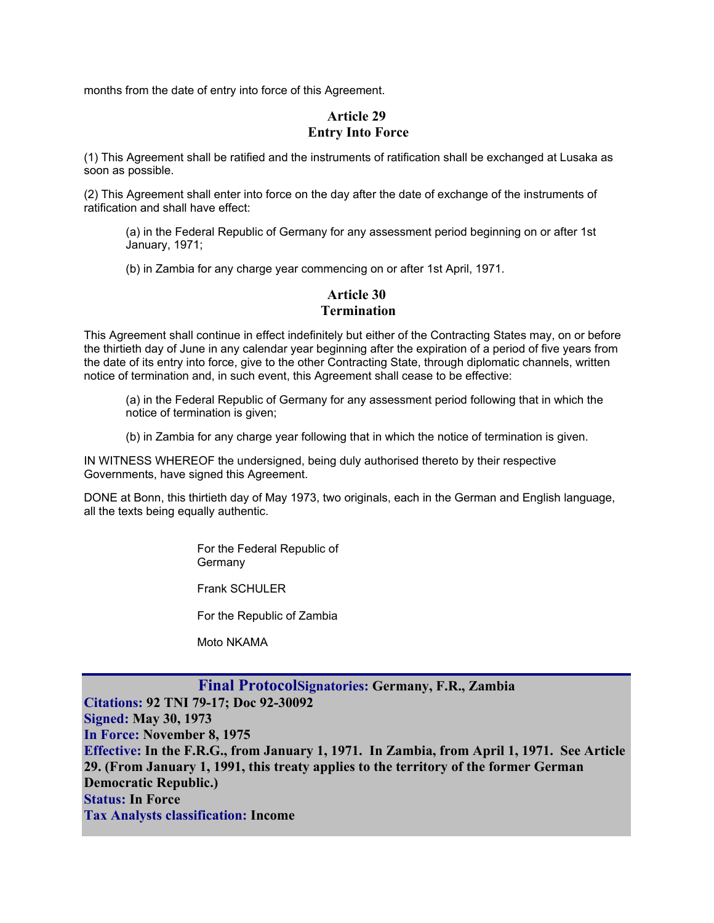months from the date of entry into force of this Agreement.

# **Article 29 Entry Into Force**

(1) This Agreement shall be ratified and the instruments of ratification shall be exchanged at Lusaka as soon as possible.

(2) This Agreement shall enter into force on the day after the date of exchange of the instruments of ratification and shall have effect:

(a) in the Federal Republic of Germany for any assessment period beginning on or after 1st January, 1971;

(b) in Zambia for any charge year commencing on or after 1st April, 1971.

#### **Article 30 Termination**

This Agreement shall continue in effect indefinitely but either of the Contracting States may, on or before the thirtieth day of June in any calendar year beginning after the expiration of a period of five years from the date of its entry into force, give to the other Contracting State, through diplomatic channels, written notice of termination and, in such event, this Agreement shall cease to be effective:

- (a) in the Federal Republic of Germany for any assessment period following that in which the notice of termination is given;
- (b) in Zambia for any charge year following that in which the notice of termination is given.

IN WITNESS WHEREOF the undersigned, being duly authorised thereto by their respective Governments, have signed this Agreement.

DONE at Bonn, this thirtieth day of May 1973, two originals, each in the German and English language, all the texts being equally authentic.

> For the Federal Republic of **Germany**

Frank SCHULER

For the Republic of Zambia

Moto NKAMA

# **Final ProtocolSignatories: Germany, F.R., Zambia**

**Citations: 92 TNI 79-17; Doc 92-30092 Signed: May 30, 1973 In Force: November 8, 1975 Effective: In the F.R.G., from January 1, 1971. In Zambia, from April 1, 1971. See Article 29. (From January 1, 1991, this treaty applies to the territory of the former German Democratic Republic.) Status: In Force Tax Analysts classification: Income**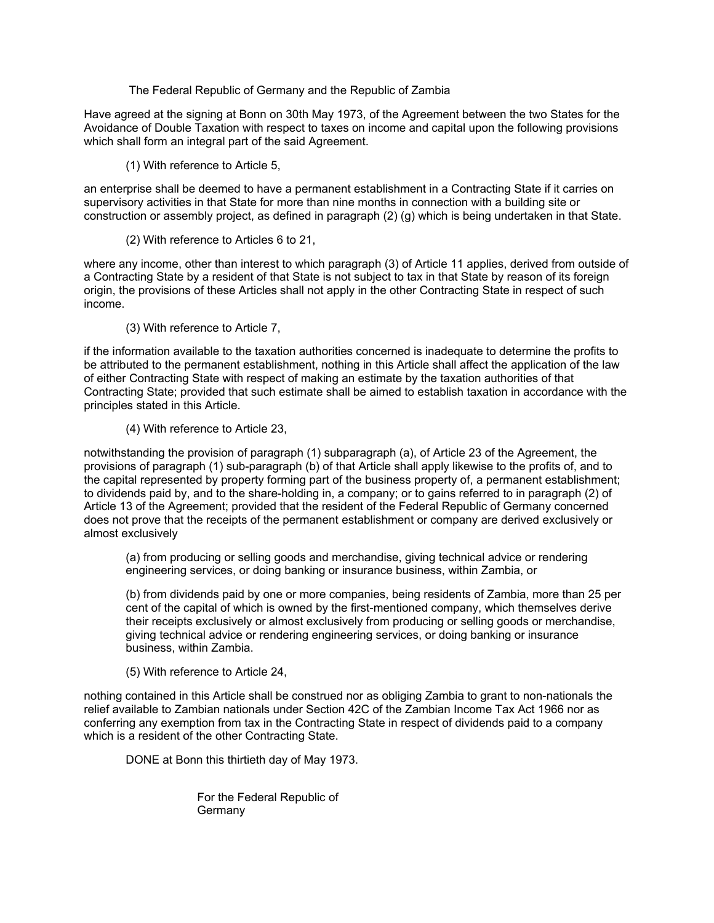The Federal Republic of Germany and the Republic of Zambia

Have agreed at the signing at Bonn on 30th May 1973, of the Agreement between the two States for the Avoidance of Double Taxation with respect to taxes on income and capital upon the following provisions which shall form an integral part of the said Agreement.

(1) With reference to Article 5,

an enterprise shall be deemed to have a permanent establishment in a Contracting State if it carries on supervisory activities in that State for more than nine months in connection with a building site or construction or assembly project, as defined in paragraph (2) (g) which is being undertaken in that State.

(2) With reference to Articles 6 to 21,

where any income, other than interest to which paragraph (3) of Article 11 applies, derived from outside of a Contracting State by a resident of that State is not subject to tax in that State by reason of its foreign origin, the provisions of these Articles shall not apply in the other Contracting State in respect of such income.

(3) With reference to Article 7,

if the information available to the taxation authorities concerned is inadequate to determine the profits to be attributed to the permanent establishment, nothing in this Article shall affect the application of the law of either Contracting State with respect of making an estimate by the taxation authorities of that Contracting State; provided that such estimate shall be aimed to establish taxation in accordance with the principles stated in this Article.

#### (4) With reference to Article 23,

notwithstanding the provision of paragraph (1) subparagraph (a), of Article 23 of the Agreement, the provisions of paragraph (1) sub-paragraph (b) of that Article shall apply likewise to the profits of, and to the capital represented by property forming part of the business property of, a permanent establishment; to dividends paid by, and to the share-holding in, a company; or to gains referred to in paragraph (2) of Article 13 of the Agreement; provided that the resident of the Federal Republic of Germany concerned does not prove that the receipts of the permanent establishment or company are derived exclusively or almost exclusively

(a) from producing or selling goods and merchandise, giving technical advice or rendering engineering services, or doing banking or insurance business, within Zambia, or

(b) from dividends paid by one or more companies, being residents of Zambia, more than 25 per cent of the capital of which is owned by the first-mentioned company, which themselves derive their receipts exclusively or almost exclusively from producing or selling goods or merchandise, giving technical advice or rendering engineering services, or doing banking or insurance business, within Zambia.

(5) With reference to Article 24,

nothing contained in this Article shall be construed nor as obliging Zambia to grant to non-nationals the relief available to Zambian nationals under Section 42C of the Zambian Income Tax Act 1966 nor as conferring any exemption from tax in the Contracting State in respect of dividends paid to a company which is a resident of the other Contracting State.

DONE at Bonn this thirtieth day of May 1973.

 For the Federal Republic of **Germany**